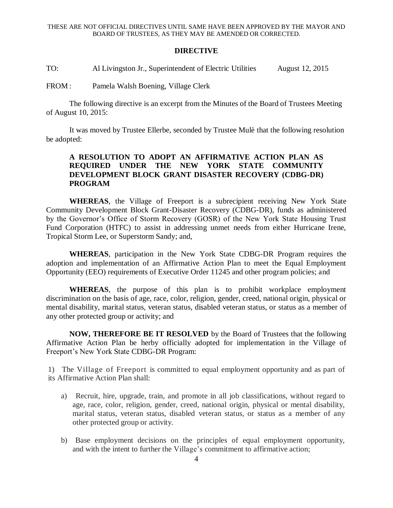## **DIRECTIVE**

TO: Al Livingston Jr., Superintendent of Electric Utilities August 12, 2015

FROM : Pamela Walsh Boening, Village Clerk

The following directive is an excerpt from the Minutes of the Board of Trustees Meeting of August 10, 2015:

It was moved by Trustee Ellerbe, seconded by Trustee Mulè that the following resolution be adopted:

## **A RESOLUTION TO ADOPT AN AFFIRMATIVE ACTION PLAN AS REQUIRED UNDER THE NEW YORK STATE COMMUNITY DEVELOPMENT BLOCK GRANT DISASTER RECOVERY (CDBG-DR) PROGRAM**

**WHEREAS**, the Village of Freeport is a subrecipient receiving New York State Community Development Block Grant-Disaster Recovery (CDBG-DR), funds as administered by the Governor's Office of Storm Recovery (GOSR) of the New York State Housing Trust Fund Corporation (HTFC) to assist in addressing unmet needs from either Hurricane Irene, Tropical Storm Lee, or Superstorm Sandy; and,

**WHEREAS**, participation in the New York State CDBG-DR Program requires the adoption and implementation of an Affirmative Action Plan to meet the Equal Employment Opportunity (EEO) requirements of Executive Order 11245 and other program policies; and

**WHEREAS**, the purpose of this plan is to prohibit workplace employment discrimination on the basis of age, race, color, religion, gender, creed, national origin, physical or mental disability, marital status, veteran status, disabled veteran status, or status as a member of any other protected group or activity; and

**NOW, THEREFORE BE IT RESOLVED** by the Board of Trustees that the following Affirmative Action Plan be herby officially adopted for implementation in the Village of Freeport's New York State CDBG-DR Program:

1) The Village of Freeport is committed to equal employment opportunity and as part of its Affirmative Action Plan shall:

- a) Recruit, hire, upgrade, train, and promote in all job classifications, without regard to age, race, color, religion, gender, creed, national origin, physical or mental disability, marital status, veteran status, disabled veteran status, or status as a member of any other protected group or activity.
- b) Base employment decisions on the principles of equal employment opportunity, and with the intent to further the Village's commitment to affirmative action;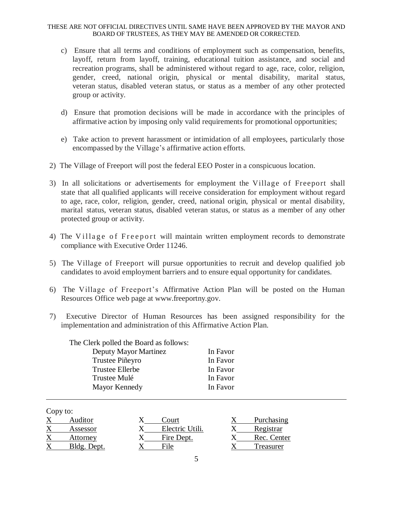## THESE ARE NOT OFFICIAL DIRECTIVES UNTIL SAME HAVE BEEN APPROVED BY THE MAYOR AND BOARD OF TRUSTEES, AS THEY MAY BE AMENDED OR CORRECTED.

- c) Ensure that all terms and conditions of employment such as compensation, benefits, layoff, return from layoff, training, educational tuition assistance, and social and recreation programs, shall be administered without regard to age, race, color, religion, gender, creed, national origin, physical or mental disability, marital status, veteran status, disabled veteran status, or status as a member of any other protected group or activity.
- d) Ensure that promotion decisions will be made in accordance with the principles of affirmative action by imposing only valid requirements for promotional opportunities;
- e) Take action to prevent harassment or intimidation of all employees, particularly those encompassed by the Village's affirmative action efforts.
- 2) The Village of Freeport will post the federal EEO Poster in a conspicuous location.
- 3) In all solicitations or advertisements for employment the Village of Freeport shall state that all qualified applicants will receive consideration for employment without regard to age, race, color, religion, gender, creed, national origin, physical or mental disability, marital status, veteran status, disabled veteran status, or status as a member of any other protected group or activity.
- 4) The Village of Freeport will maintain written employment records to demonstrate compliance with Executive Order 11246.
- 5) The Village of Freeport will pursue opportunities to recruit and develop qualified job candidates to avoid employment barriers and to ensure equal opportunity for candidates.
- 6) The Village of Freeport's Affirmative Action Plan will be posted on the Human Resources Office web page at www.freeportny.gov.
- 7) Executive Director of Human Resources has been assigned responsibility for the implementation and administration of this Affirmative Action Plan.

| In Favor |
|----------|
| In Favor |
| In Favor |
| In Favor |
| In Favor |
|          |

Copy to:

| - - - 1 |             |                 |             |
|---------|-------------|-----------------|-------------|
|         | Auditor     | Court           | Purchasing  |
|         | Assessor    | Electric Utili. | Registrar   |
|         | Attorney    | Fire Dept.      | Rec. Center |
|         | Bldg. Dept. | File            | Treasurer   |
|         |             |                 |             |